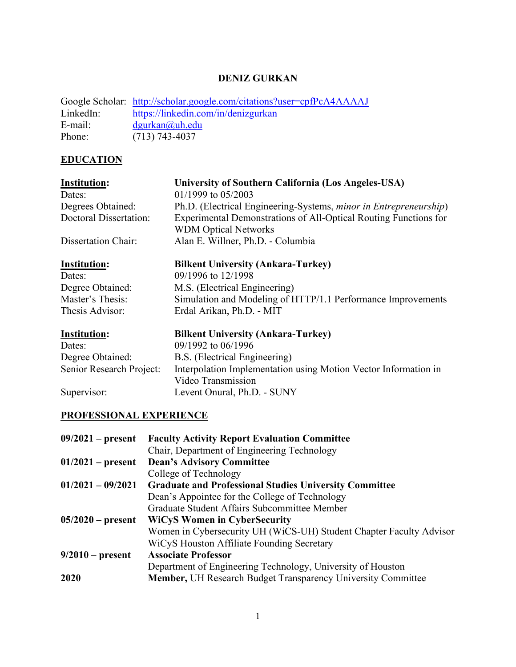## **DENIZ GURKAN**

|           | Google Scholar: http://scholar.google.com/citations?user=cpfPcA4AAAAJ |
|-----------|-----------------------------------------------------------------------|
| LinkedIn: | https://linkedin.com/in/denizgurkan                                   |
| E-mail:   | $d$ gurkan $(a)$ uh.edu                                               |
| Phone:    | $(713) 743 - 4037$                                                    |

# **EDUCATION**

| <b>Institution:</b><br>Dates: | University of Southern California (Los Angeles-USA)<br>$01/1999$ to $05/2003$         |
|-------------------------------|---------------------------------------------------------------------------------------|
| Degrees Obtained:             | Ph.D. (Electrical Engineering-Systems, minor in Entrepreneurship)                     |
| <b>Doctoral Dissertation:</b> | Experimental Demonstrations of All-Optical Routing Functions for                      |
|                               | <b>WDM Optical Networks</b>                                                           |
| Dissertation Chair:           | Alan E. Willner, Ph.D. - Columbia                                                     |
| <b>Institution:</b>           | <b>Bilkent University (Ankara-Turkey)</b>                                             |
| Dates:                        | 09/1996 to 12/1998                                                                    |
| Degree Obtained:              | M.S. (Electrical Engineering)                                                         |
| Master's Thesis:              | Simulation and Modeling of HTTP/1.1 Performance Improvements                          |
| Thesis Advisor:               | Erdal Arikan, Ph.D. - MIT                                                             |
| <b>Institution:</b>           | <b>Bilkent University (Ankara-Turkey)</b>                                             |
| Dates:                        | 09/1992 to 06/1996                                                                    |
| Degree Obtained:              | B.S. (Electrical Engineering)                                                         |
| Senior Research Project:      | Interpolation Implementation using Motion Vector Information in<br>Video Transmission |
| Supervisor:                   | Levent Onural, Ph.D. - SUNY                                                           |

## **PROFESSIONAL EXPERIENCE**

| $09/2021$ – present | <b>Faculty Activity Report Evaluation Committee</b>                 |
|---------------------|---------------------------------------------------------------------|
|                     | Chair, Department of Engineering Technology                         |
| $01/2021$ – present | <b>Dean's Advisory Committee</b>                                    |
|                     | College of Technology                                               |
| $01/2021 - 09/2021$ | <b>Graduate and Professional Studies University Committee</b>       |
|                     | Dean's Appointee for the College of Technology                      |
|                     | Graduate Student Affairs Subcommittee Member                        |
| $05/2020$ – present | <b>WiCyS Women in CyberSecurity</b>                                 |
|                     | Women in Cybersecurity UH (WiCS-UH) Student Chapter Faculty Advisor |
|                     | WiCyS Houston Affiliate Founding Secretary                          |
| $9/2010$ – present  | <b>Associate Professor</b>                                          |
|                     | Department of Engineering Technology, University of Houston         |
| 2020                | <b>Member, UH Research Budget Transparency University Committee</b> |
|                     |                                                                     |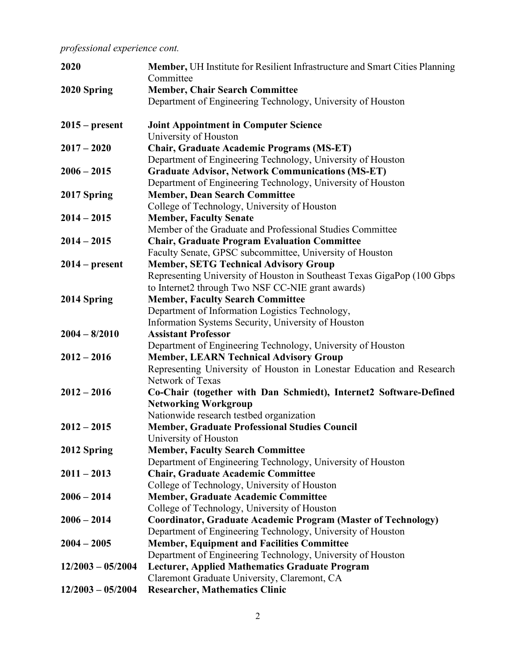*professional experience cont.*

| 2020                | Member, UH Institute for Resilient Infrastructure and Smart Cities Planning<br>Committee                               |
|---------------------|------------------------------------------------------------------------------------------------------------------------|
| 2020 Spring         | <b>Member, Chair Search Committee</b>                                                                                  |
|                     | Department of Engineering Technology, University of Houston                                                            |
| $2015$ – present    | <b>Joint Appointment in Computer Science</b>                                                                           |
|                     | University of Houston                                                                                                  |
| $2017 - 2020$       | <b>Chair, Graduate Academic Programs (MS-ET)</b>                                                                       |
| $2006 - 2015$       | Department of Engineering Technology, University of Houston<br><b>Graduate Advisor, Network Communications (MS-ET)</b> |
|                     | Department of Engineering Technology, University of Houston                                                            |
|                     | <b>Member, Dean Search Committee</b>                                                                                   |
| 2017 Spring         | College of Technology, University of Houston                                                                           |
| $2014 - 2015$       | <b>Member, Faculty Senate</b>                                                                                          |
|                     | Member of the Graduate and Professional Studies Committee                                                              |
| $2014 - 2015$       | <b>Chair, Graduate Program Evaluation Committee</b>                                                                    |
|                     | Faculty Senate, GPSC subcommittee, University of Houston                                                               |
| $2014$ – present    | <b>Member, SETG Technical Advisory Group</b>                                                                           |
|                     | Representing University of Houston in Southeast Texas GigaPop (100 Gbps                                                |
|                     | to Internet2 through Two NSF CC-NIE grant awards)                                                                      |
| 2014 Spring         | <b>Member, Faculty Search Committee</b>                                                                                |
|                     | Department of Information Logistics Technology,                                                                        |
|                     | Information Systems Security, University of Houston                                                                    |
| $2004 - 8/2010$     | <b>Assistant Professor</b>                                                                                             |
|                     | Department of Engineering Technology, University of Houston                                                            |
| $2012 - 2016$       | <b>Member, LEARN Technical Advisory Group</b>                                                                          |
|                     | Representing University of Houston in Lonestar Education and Research                                                  |
|                     | Network of Texas                                                                                                       |
| $2012 - 2016$       | Co-Chair (together with Dan Schmiedt), Internet2 Software-Defined                                                      |
|                     | <b>Networking Workgroup</b>                                                                                            |
|                     | Nationwide research testbed organization                                                                               |
| $2012 - 2015$       | Member, Graduate Professional Studies Council                                                                          |
|                     | University of Houston                                                                                                  |
| 2012 Spring         | <b>Member, Faculty Search Committee</b>                                                                                |
|                     | Department of Engineering Technology, University of Houston                                                            |
| $2011 - 2013$       | <b>Chair, Graduate Academic Committee</b>                                                                              |
|                     | College of Technology, University of Houston                                                                           |
| $2006 - 2014$       | <b>Member, Graduate Academic Committee</b>                                                                             |
|                     | College of Technology, University of Houston                                                                           |
| $2006 - 2014$       | <b>Coordinator, Graduate Academic Program (Master of Technology)</b>                                                   |
|                     | Department of Engineering Technology, University of Houston                                                            |
| $2004 - 2005$       | <b>Member, Equipment and Facilities Committee</b>                                                                      |
|                     | Department of Engineering Technology, University of Houston                                                            |
| $12/2003 - 05/2004$ | <b>Lecturer, Applied Mathematics Graduate Program</b>                                                                  |
|                     | Claremont Graduate University, Claremont, CA                                                                           |
| $12/2003 - 05/2004$ | <b>Researcher, Mathematics Clinic</b>                                                                                  |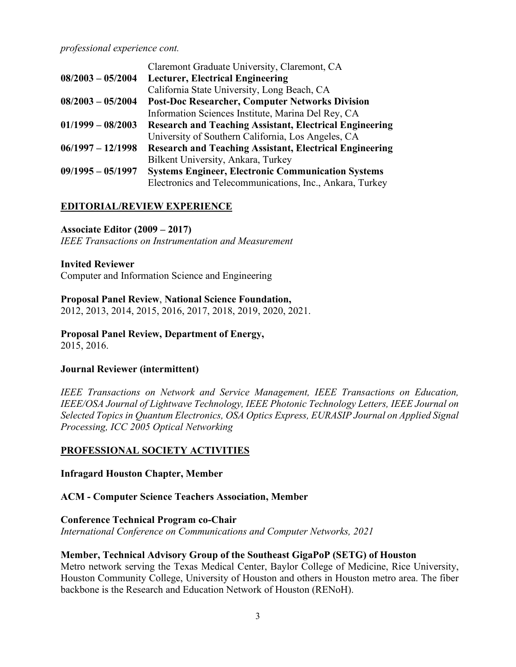#### *professional experience cont.*

|                     | Claremont Graduate University, Claremont, CA                   |
|---------------------|----------------------------------------------------------------|
| $08/2003 - 05/2004$ | <b>Lecturer, Electrical Engineering</b>                        |
|                     | California State University, Long Beach, CA                    |
| $08/2003 - 05/2004$ | <b>Post-Doc Researcher, Computer Networks Division</b>         |
|                     | Information Sciences Institute, Marina Del Rey, CA             |
| $01/1999 - 08/2003$ | <b>Research and Teaching Assistant, Electrical Engineering</b> |
|                     | University of Southern California, Los Angeles, CA             |
| $06/1997 - 12/1998$ | <b>Research and Teaching Assistant, Electrical Engineering</b> |
|                     | Bilkent University, Ankara, Turkey                             |
| $09/1995 - 05/1997$ | <b>Systems Engineer, Electronic Communication Systems</b>      |
|                     | Electronics and Telecommunications, Inc., Ankara, Turkey       |

#### **EDITORIAL/REVIEW EXPERIENCE**

#### **Associate Editor (2009 – 2017)**

*IEEE Transactions on Instrumentation and Measurement*

#### **Invited Reviewer**

Computer and Information Science and Engineering

**Proposal Panel Review**, **National Science Foundation,**  2012, 2013, 2014, 2015, 2016, 2017, 2018, 2019, 2020, 2021.

**Proposal Panel Review, Department of Energy,** 2015, 2016.

#### **Journal Reviewer (intermittent)**

*IEEE Transactions on Network and Service Management, IEEE Transactions on Education, IEEE/OSA Journal of Lightwave Technology, IEEE Photonic Technology Letters, IEEE Journal on Selected Topics in Quantum Electronics, OSA Optics Express, EURASIP Journal on Applied Signal Processing, ICC 2005 Optical Networking*

### **PROFESSIONAL SOCIETY ACTIVITIES**

#### **Infragard Houston Chapter, Member**

#### **ACM - Computer Science Teachers Association, Member**

#### **Conference Technical Program co-Chair**

*International Conference on Communications and Computer Networks, 2021*

#### **Member, Technical Advisory Group of the Southeast GigaPoP (SETG) of Houston**

Metro network serving the Texas Medical Center, Baylor College of Medicine, Rice University, Houston Community College, University of Houston and others in Houston metro area. The fiber backbone is the Research and Education Network of Houston (RENoH).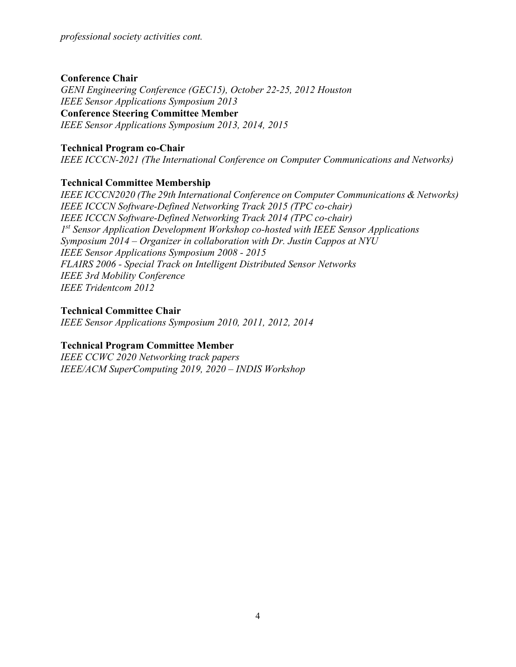### **Conference Chair**

*GENI Engineering Conference (GEC15), October 22-25, 2012 Houston IEEE Sensor Applications Symposium 2013* **Conference Steering Committee Member** *IEEE Sensor Applications Symposium 2013, 2014, 2015*

## **Technical Program co-Chair**

*IEEE ICCCN-2021 (The International Conference on Computer Communications and Networks)*

## **Technical Committee Membership**

*IEEE ICCCN2020 (The 29th International Conference on Computer Communications & Networks) IEEE ICCCN Software-Defined Networking Track 2015 (TPC co-chair) IEEE ICCCN Software-Defined Networking Track 2014 (TPC co-chair) 1st Sensor Application Development Workshop co-hosted with IEEE Sensor Applications Symposium 2014 – Organizer in collaboration with Dr. Justin Cappos at NYU IEEE Sensor Applications Symposium 2008 - 2015 FLAIRS 2006 - Special Track on Intelligent Distributed Sensor Networks IEEE 3rd Mobility Conference IEEE Tridentcom 2012*

### **Technical Committee Chair**

*IEEE Sensor Applications Symposium 2010, 2011, 2012, 2014*

## **Technical Program Committee Member**

*IEEE CCWC 2020 Networking track papers IEEE/ACM SuperComputing 2019, 2020 – INDIS Workshop*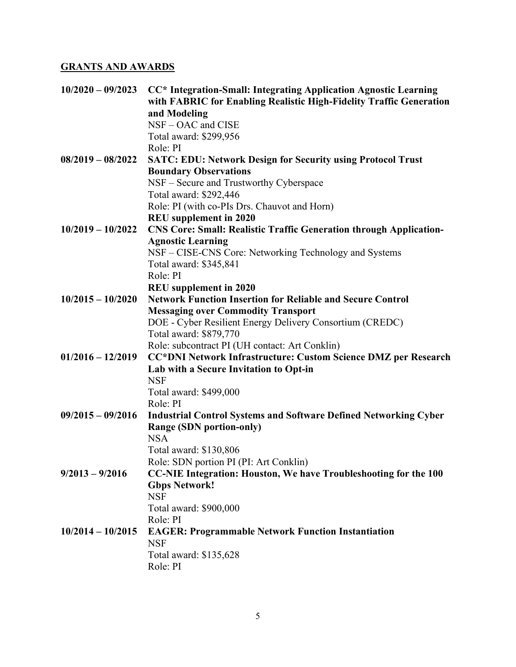## **GRANTS AND AWARDS**

| $10/2020 - 09/2023$ | CC* Integration-Small: Integrating Application Agnostic Learning          |
|---------------------|---------------------------------------------------------------------------|
|                     | with FABRIC for Enabling Realistic High-Fidelity Traffic Generation       |
|                     | and Modeling                                                              |
|                     | NSF - OAC and CISE                                                        |
|                     | Total award: \$299,956                                                    |
|                     | Role: PI                                                                  |
| $08/2019 - 08/2022$ | <b>SATC: EDU: Network Design for Security using Protocol Trust</b>        |
|                     | <b>Boundary Observations</b>                                              |
|                     | NSF - Secure and Trustworthy Cyberspace                                   |
|                     | Total award: \$292,446                                                    |
|                     | Role: PI (with co-PIs Drs. Chauvot and Horn)                              |
|                     | <b>REU</b> supplement in 2020                                             |
| $10/2019 - 10/2022$ | <b>CNS Core: Small: Realistic Traffic Generation through Application-</b> |
|                     | <b>Agnostic Learning</b>                                                  |
|                     | NSF – CISE-CNS Core: Networking Technology and Systems                    |
|                     | Total award: \$345,841                                                    |
|                     | Role: PI                                                                  |
|                     | <b>REU</b> supplement in 2020                                             |
| $10/2015 - 10/2020$ | <b>Network Function Insertion for Reliable and Secure Control</b>         |
|                     | <b>Messaging over Commodity Transport</b>                                 |
|                     | DOE - Cyber Resilient Energy Delivery Consortium (CREDC)                  |
|                     | Total award: \$879,770                                                    |
|                     | Role: subcontract PI (UH contact: Art Conklin)                            |
| $01/2016 - 12/2019$ | CC*DNI Network Infrastructure: Custom Science DMZ per Research            |
|                     | Lab with a Secure Invitation to Opt-in                                    |
|                     | <b>NSF</b>                                                                |
|                     | Total award: \$499,000                                                    |
|                     | Role: PI                                                                  |
| $09/2015 - 09/2016$ | <b>Industrial Control Systems and Software Defined Networking Cyber</b>   |
|                     | <b>Range (SDN portion-only)</b>                                           |
|                     | <b>NSA</b>                                                                |
|                     | Total award: \$130,806                                                    |
|                     | Role: SDN portion PI (PI: Art Conklin)                                    |
| $9/2013 - 9/2016$   | CC-NIE Integration: Houston, We have Troubleshooting for the 100          |
|                     | <b>Gbps Network!</b>                                                      |
|                     | <b>NSF</b>                                                                |
|                     | Total award: \$900,000                                                    |
|                     | Role: PI                                                                  |
| $10/2014 - 10/2015$ | <b>EAGER: Programmable Network Function Instantiation</b>                 |
|                     | <b>NSF</b>                                                                |
|                     | Total award: \$135,628                                                    |
|                     | Role: PI                                                                  |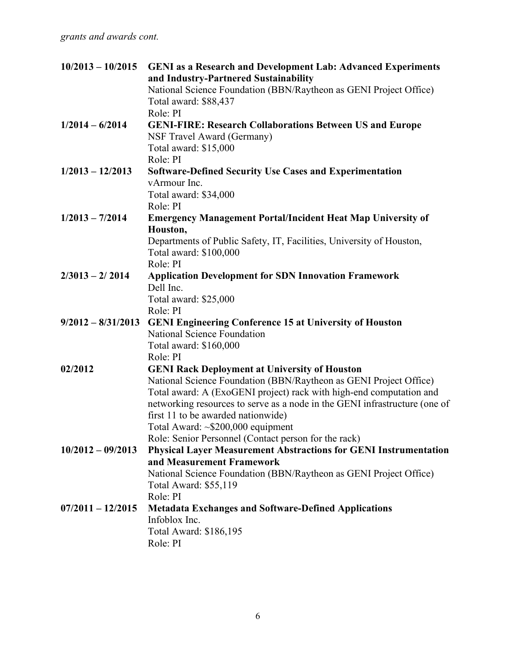| $10/2013 - 10/2015$  | <b>GENI</b> as a Research and Development Lab: Advanced Experiments<br>and Industry-Partnered Sustainability |
|----------------------|--------------------------------------------------------------------------------------------------------------|
|                      | National Science Foundation (BBN/Raytheon as GENI Project Office)<br>Total award: \$88,437                   |
|                      | Role: PI                                                                                                     |
| $1/2014 - 6/2014$    | <b>GENI-FIRE: Research Collaborations Between US and Europe</b><br>NSF Travel Award (Germany)                |
|                      | Total award: \$15,000                                                                                        |
|                      | Role: PI                                                                                                     |
| $1/2013 - 12/2013$   | <b>Software-Defined Security Use Cases and Experimentation</b>                                               |
|                      | vArmour Inc.                                                                                                 |
|                      | Total award: \$34,000<br>Role: PI                                                                            |
| $1/2013 - 7/2014$    | <b>Emergency Management Portal/Incident Heat Map University of</b>                                           |
|                      | Houston,                                                                                                     |
|                      | Departments of Public Safety, IT, Facilities, University of Houston,                                         |
|                      | Total award: \$100,000                                                                                       |
|                      | Role: PI                                                                                                     |
| $2/3013 - 2/2014$    | <b>Application Development for SDN Innovation Framework</b>                                                  |
|                      | Dell Inc.                                                                                                    |
|                      | Total award: \$25,000                                                                                        |
|                      | Role: PI                                                                                                     |
| $9/2012 - 8/31/2013$ | <b>GENI Engineering Conference 15 at University of Houston</b>                                               |
|                      | <b>National Science Foundation</b>                                                                           |
|                      | Total award: \$160,000                                                                                       |
|                      | Role: PI                                                                                                     |
| 02/2012              | <b>GENI Rack Deployment at University of Houston</b>                                                         |
|                      | National Science Foundation (BBN/Raytheon as GENI Project Office)                                            |
|                      | Total award: A (ExoGENI project) rack with high-end computation and                                          |
|                      | networking resources to serve as a node in the GENI infrastructure (one of                                   |
|                      | first 11 to be awarded nationwide)                                                                           |
|                      | Total Award: ~\$200,000 equipment                                                                            |
|                      | Role: Senior Personnel (Contact person for the rack)                                                         |
| $10/2012 - 09/2013$  | <b>Physical Layer Measurement Abstractions for GENI Instrumentation</b>                                      |
|                      | and Measurement Framework                                                                                    |
|                      | National Science Foundation (BBN/Raytheon as GENI Project Office)                                            |
|                      | Total Award: \$55,119                                                                                        |
|                      | Role: PI                                                                                                     |
| $07/2011 - 12/2015$  | <b>Metadata Exchanges and Software-Defined Applications</b>                                                  |
|                      | Infoblox Inc.                                                                                                |
|                      | Total Award: \$186,195                                                                                       |
|                      | Role: PI                                                                                                     |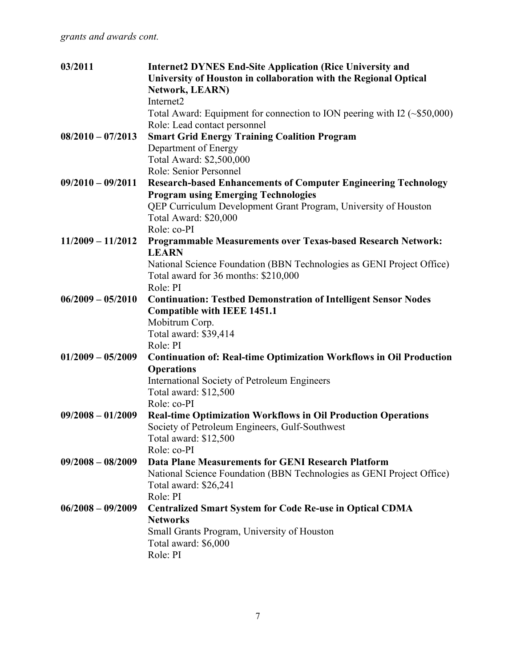| 03/2011             | <b>Internet2 DYNES End-Site Application (Rice University and</b><br>University of Houston in collaboration with the Regional Optical<br><b>Network, LEARN)</b><br>Internet2<br>Total Award: Equipment for connection to ION peering with I2 $(\sim $50,000)$ |
|---------------------|--------------------------------------------------------------------------------------------------------------------------------------------------------------------------------------------------------------------------------------------------------------|
| $08/2010 - 07/2013$ | Role: Lead contact personnel<br><b>Smart Grid Energy Training Coalition Program</b><br>Department of Energy<br>Total Award: \$2,500,000                                                                                                                      |
| $09/2010 - 09/2011$ | Role: Senior Personnel<br><b>Research-based Enhancements of Computer Engineering Technology</b><br><b>Program using Emerging Technologies</b><br>QEP Curriculum Development Grant Program, University of Houston                                             |
| $11/2009 - 11/2012$ | Total Award: \$20,000<br>Role: co-PI<br>Programmable Measurements over Texas-based Research Network:                                                                                                                                                         |
|                     | <b>LEARN</b><br>National Science Foundation (BBN Technologies as GENI Project Office)<br>Total award for 36 months: \$210,000<br>Role: PI                                                                                                                    |
| $06/2009 - 05/2010$ | <b>Continuation: Testbed Demonstration of Intelligent Sensor Nodes</b><br><b>Compatible with IEEE 1451.1</b><br>Mobitrum Corp.<br>Total award: \$39,414<br>Role: PI                                                                                          |
| $01/2009 - 05/2009$ | <b>Continuation of: Real-time Optimization Workflows in Oil Production</b><br><b>Operations</b><br>International Society of Petroleum Engineers<br>Total award: \$12,500<br>Role: co-PI                                                                      |
| $09/2008 - 01/2009$ | <b>Real-time Optimization Workflows in Oil Production Operations</b><br>Society of Petroleum Engineers, Gulf-Southwest<br>Total award: \$12,500<br>Role: co-PI                                                                                               |
| $09/2008 - 08/2009$ | Data Plane Measurements for GENI Research Platform<br>National Science Foundation (BBN Technologies as GENI Project Office)<br>Total award: \$26,241<br>Role: PI                                                                                             |
| $06/2008 - 09/2009$ | <b>Centralized Smart System for Code Re-use in Optical CDMA</b><br><b>Networks</b><br>Small Grants Program, University of Houston<br>Total award: \$6,000<br>Role: PI                                                                                        |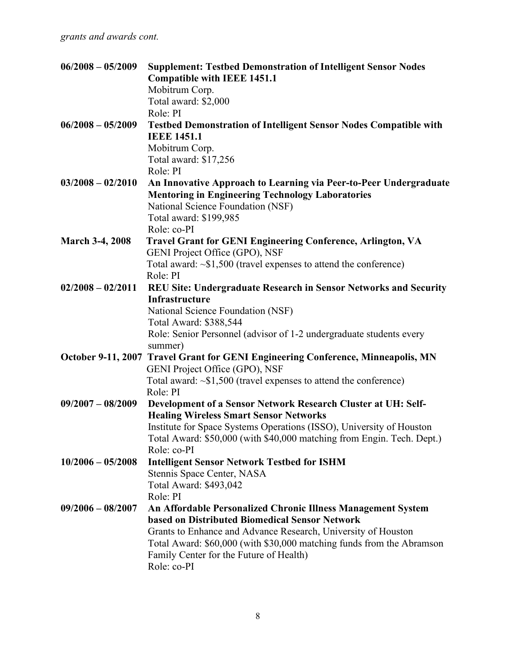| $06/2008 - 05/2009$    | <b>Supplement: Testbed Demonstration of Intelligent Sensor Nodes</b>                                           |
|------------------------|----------------------------------------------------------------------------------------------------------------|
|                        | <b>Compatible with IEEE 1451.1</b>                                                                             |
|                        | Mobitrum Corp.                                                                                                 |
|                        | Total award: \$2,000                                                                                           |
|                        | Role: PI                                                                                                       |
| $06/2008 - 05/2009$    | <b>Testbed Demonstration of Intelligent Sensor Nodes Compatible with</b>                                       |
|                        | <b>IEEE 1451.1</b>                                                                                             |
|                        | Mobitrum Corp.                                                                                                 |
|                        | Total award: \$17,256                                                                                          |
|                        | Role: PI                                                                                                       |
| $03/2008 - 02/2010$    | An Innovative Approach to Learning via Peer-to-Peer Undergraduate                                              |
|                        | <b>Mentoring in Engineering Technology Laboratories</b>                                                        |
|                        | National Science Foundation (NSF)                                                                              |
|                        | Total award: \$199,985                                                                                         |
|                        | Role: co-PI                                                                                                    |
| <b>March 3-4, 2008</b> | Travel Grant for GENI Engineering Conference, Arlington, VA                                                    |
|                        | GENI Project Office (GPO), NSF                                                                                 |
|                        | Total award: $\sim$ \$1,500 (travel expenses to attend the conference)                                         |
|                        | Role: PI                                                                                                       |
| $02/2008 - 02/2011$    | REU Site: Undergraduate Research in Sensor Networks and Security                                               |
|                        | Infrastructure                                                                                                 |
|                        | National Science Foundation (NSF)                                                                              |
|                        | Total Award: \$388,544                                                                                         |
|                        | Role: Senior Personnel (advisor of 1-2 undergraduate students every                                            |
|                        | summer)                                                                                                        |
|                        | October 9-11, 2007 Travel Grant for GENI Engineering Conference, Minneapolis, MN                               |
|                        | GENI Project Office (GPO), NSF                                                                                 |
|                        | Total award: $\sim$ \$1,500 (travel expenses to attend the conference)                                         |
|                        | Role: PI                                                                                                       |
| $09/2007 - 08/2009$    | Development of a Sensor Network Research Cluster at UH: Self-                                                  |
|                        | <b>Healing Wireless Smart Sensor Networks</b>                                                                  |
|                        | Institute for Space Systems Operations (ISSO), University of Houston                                           |
|                        | Total Award: \$50,000 (with \$40,000 matching from Engin. Tech. Dept.)                                         |
|                        | Role: co-PI                                                                                                    |
| $10/2006 - 05/2008$    |                                                                                                                |
|                        | <b>Intelligent Sensor Network Testbed for ISHM</b>                                                             |
|                        | Stennis Space Center, NASA                                                                                     |
|                        | Total Award: \$493,042<br>Role: PI                                                                             |
| $09/2006 - 08/2007$    |                                                                                                                |
|                        | An Affordable Personalized Chronic Illness Management System<br>based on Distributed Biomedical Sensor Network |
|                        |                                                                                                                |
|                        | Grants to Enhance and Advance Research, University of Houston                                                  |
|                        | Total Award: \$60,000 (with \$30,000 matching funds from the Abramson                                          |
|                        | Family Center for the Future of Health)                                                                        |
|                        | Role: co-PI                                                                                                    |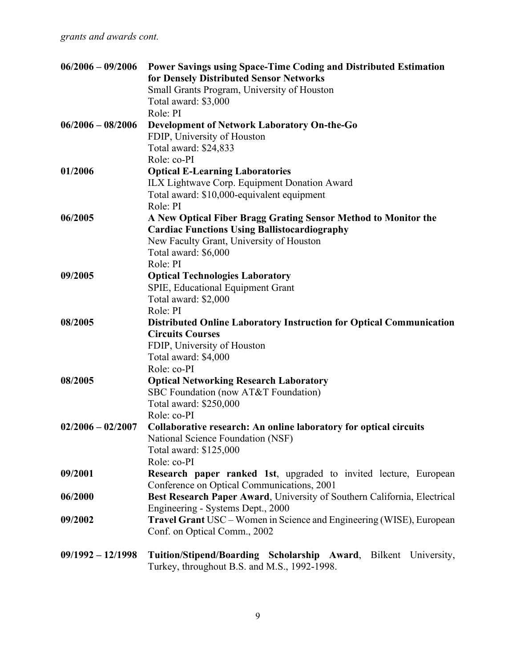| $06/2006 - 09/2006$ | Power Savings using Space-Time Coding and Distributed Estimation<br>for Densely Distributed Sensor Networks |
|---------------------|-------------------------------------------------------------------------------------------------------------|
|                     | Small Grants Program, University of Houston                                                                 |
|                     | Total award: \$3,000                                                                                        |
|                     | Role: PI                                                                                                    |
| $06/2006 - 08/2006$ | <b>Development of Network Laboratory On-the-Go</b>                                                          |
|                     | FDIP, University of Houston                                                                                 |
|                     | Total award: \$24,833                                                                                       |
|                     | Role: co-PI                                                                                                 |
| 01/2006             | <b>Optical E-Learning Laboratories</b>                                                                      |
|                     | ILX Lightwave Corp. Equipment Donation Award                                                                |
|                     |                                                                                                             |
|                     | Total award: \$10,000-equivalent equipment                                                                  |
|                     | Role: PI                                                                                                    |
| 06/2005             | A New Optical Fiber Bragg Grating Sensor Method to Monitor the                                              |
|                     | <b>Cardiac Functions Using Ballistocardiography</b>                                                         |
|                     | New Faculty Grant, University of Houston                                                                    |
|                     | Total award: \$6,000                                                                                        |
|                     | Role: PI                                                                                                    |
| 09/2005             | <b>Optical Technologies Laboratory</b>                                                                      |
|                     | SPIE, Educational Equipment Grant                                                                           |
|                     | Total award: \$2,000                                                                                        |
|                     | Role: PI                                                                                                    |
| 08/2005             | <b>Distributed Online Laboratory Instruction for Optical Communication</b>                                  |
|                     | <b>Circuits Courses</b>                                                                                     |
|                     | FDIP, University of Houston                                                                                 |
|                     | Total award: \$4,000                                                                                        |
|                     | Role: co-PI                                                                                                 |
| 08/2005             | <b>Optical Networking Research Laboratory</b>                                                               |
|                     | SBC Foundation (now AT&T Foundation)                                                                        |
|                     | Total award: \$250,000                                                                                      |
|                     | Role: co-PI                                                                                                 |
| $02/2006 - 02/2007$ | Collaborative research: An online laboratory for optical circuits                                           |
|                     | National Science Foundation (NSF)                                                                           |
|                     | Total award: \$125,000                                                                                      |
|                     | Role: co-PI                                                                                                 |
| 09/2001             | <b>Research paper ranked 1st, upgraded to invited lecture, European</b>                                     |
|                     | Conference on Optical Communications, 2001                                                                  |
| 06/2000             | Best Research Paper Award, University of Southern California, Electrical                                    |
|                     | Engineering - Systems Dept., 2000                                                                           |
| 09/2002             | <b>Travel Grant USC</b> – Women in Science and Engineering (WISE), European                                 |
|                     | Conf. on Optical Comm., 2002                                                                                |
| $09/1992 - 12/1998$ | Tuition/Stipend/Boarding Scholarship Award, Bilkent University,                                             |
|                     | Turkey, throughout B.S. and M.S., 1992-1998.                                                                |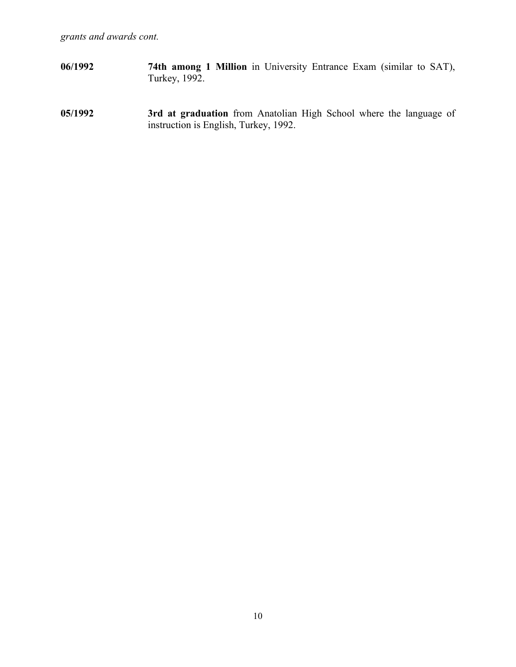- **06/1992 74th among 1 Million** in University Entrance Exam (similar to SAT), Turkey, 1992.
- **05/1992 3rd at graduation** from Anatolian High School where the language of instruction is English, Turkey, 1992.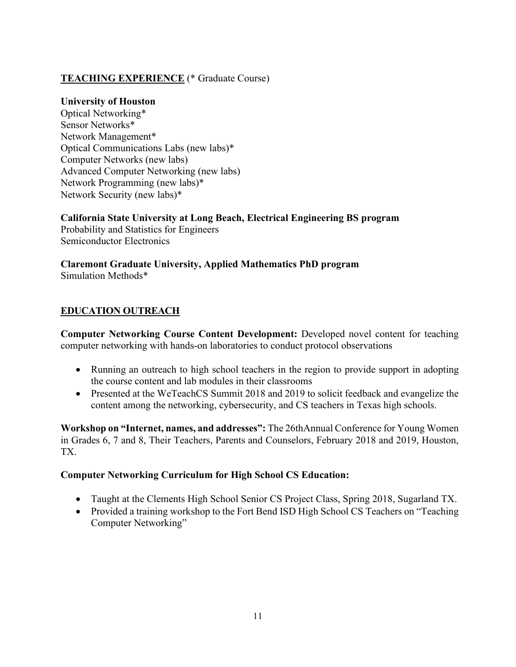## **TEACHING EXPERIENCE** (\* Graduate Course)

#### **University of Houston**

Optical Networking\* Sensor Networks\* Network Management\* Optical Communications Labs (new labs)\* Computer Networks (new labs) Advanced Computer Networking (new labs) Network Programming (new labs)\* Network Security (new labs)\*

### **California State University at Long Beach, Electrical Engineering BS program**

Probability and Statistics for Engineers Semiconductor Electronics

**Claremont Graduate University, Applied Mathematics PhD program** Simulation Methods\*

## **EDUCATION OUTREACH**

**Computer Networking Course Content Development:** Developed novel content for teaching computer networking with hands-on laboratories to conduct protocol observations

- Running an outreach to high school teachers in the region to provide support in adopting the course content and lab modules in their classrooms
- Presented at the WeTeachCS Summit 2018 and 2019 to solicit feedback and evangelize the content among the networking, cybersecurity, and CS teachers in Texas high schools.

**Workshop on "Internet, names, and addresses":** The 26thAnnual Conference for Young Women in Grades 6, 7 and 8, Their Teachers, Parents and Counselors, February 2018 and 2019, Houston, TX.

### **Computer Networking Curriculum for High School CS Education:**

- Taught at the Clements High School Senior CS Project Class, Spring 2018, Sugarland TX.
- Provided a training workshop to the Fort Bend ISD High School CS Teachers on "Teaching" Computer Networking"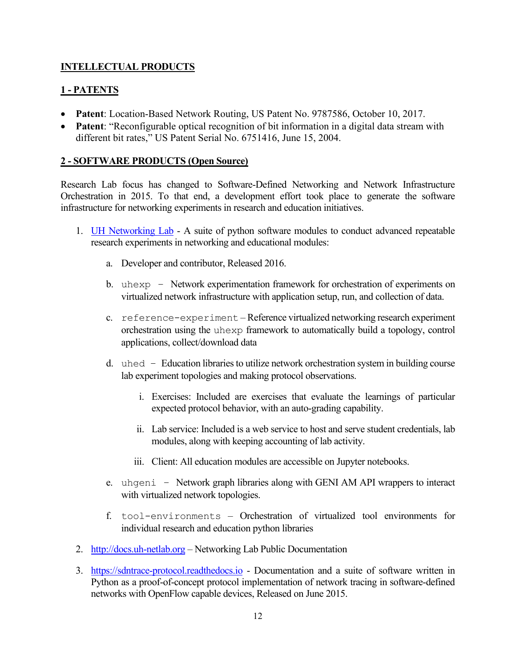## **INTELLECTUAL PRODUCTS**

## **1 - PATENTS**

- **Patent**: Location-Based Network Routing, US Patent No. 9787586, October 10, 2017.
- **Patent**: "Reconfigurable optical recognition of bit information in a digital data stream with different bit rates," US Patent Serial No. 6751416, June 15, 2004.

### **2 - SOFTWARE PRODUCTS (Open Source)**

Research Lab focus has changed to Software-Defined Networking and Network Infrastructure Orchestration in 2015. To that end, a development effort took place to generate the software infrastructure for networking experiments in research and education initiatives.

- 1. **[UH Networking Lab](http://info.uh-netlab.org/)** A suite of python software modules to conduct advanced repeatable research experiments in networking and educational modules:
	- a. Developer and contributor, Released 2016.
	- b. uhexp Network experimentation framework for orchestration of experiments on virtualized network infrastructure with application setup, run, and collection of data.
	- c. reference-experiment Reference virtualized networking research experiment orchestration using the uhexp framework to automatically build a topology, control applications, collect/download data
	- d. uhed Education libraries to utilize network orchestration system in building course lab experiment topologies and making protocol observations.
		- i. Exercises: Included are exercises that evaluate the learnings of particular expected protocol behavior, with an auto-grading capability.
		- ii. Lab service: Included is a web service to host and serve student credentials, lab modules, along with keeping accounting of lab activity.
		- iii. Client: All education modules are accessible on Jupyter notebooks.
	- e. uhgeni Network graph libraries along with GENI AM API wrappers to interact with virtualized network topologies.
	- f. tool-environments Orchestration of virtualized tool environments for individual research and education python libraries
- 2. [http://docs.uh-netlab.org](http://docs.uh-netlab.org/) Networking Lab Public Documentation
- 3. [https://sdntrace-protocol.readthedocs.io](https://sdntrace-protocol.readthedocs.io/) Documentation and a suite of software written in Python as a proof-of-concept protocol implementation of network tracing in software-defined networks with OpenFlow capable devices, Released on June 2015.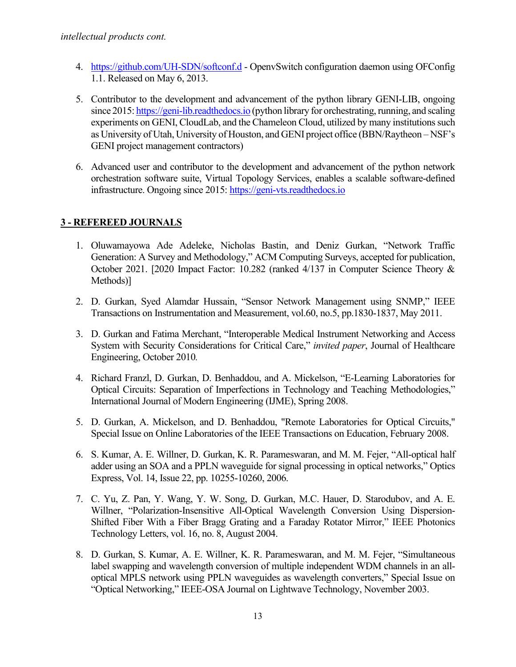- 4. <https://github.com/UH-SDN/softconf.d> OpenvSwitch configuration daemon using OFConfig 1.1. Released on May 6, 2013.
- 5. Contributor to the development and advancement of the python library GENI-LIB, ongoing since 2015[: https://geni-lib.readthedocs.io](https://geni-lib.readthedocs.io/) (python library for orchestrating, running, and scaling experiments on GENI, CloudLab, and the Chameleon Cloud, utilized by many institutions such as University of Utah, University of Houston, and GENI project office (BBN/Raytheon – NSF's GENI project management contractors)
- 6. Advanced user and contributor to the development and advancement of the python network orchestration software suite, Virtual Topology Services, enables a scalable software-defined infrastructure. Ongoing since 2015[: https://geni-vts.readthedocs.io](https://geni-vts.readthedocs.io/)

## **3 - REFEREED JOURNALS**

- 1. Oluwamayowa Ade Adeleke, Nicholas Bastin, and Deniz Gurkan, "Network Traffic Generation: A Survey and Methodology," ACM Computing Surveys, accepted for publication, October 2021. [2020 Impact Factor: 10.282 (ranked 4/137 in Computer Science Theory & Methods)]
- 2. D. Gurkan, Syed Alamdar Hussain, "Sensor Network Management using SNMP," IEEE Transactions on Instrumentation and Measurement, vol.60, no.5, pp.1830-1837, May 2011.
- 3. D. Gurkan and Fatima Merchant, "Interoperable Medical Instrument Networking and Access System with Security Considerations for Critical Care," *invited paper*, Journal of Healthcare Engineering, October 2010*.*
- 4. Richard Franzl, D. Gurkan, D. Benhaddou, and A. Mickelson, "E-Learning Laboratories for Optical Circuits: Separation of Imperfections in Technology and Teaching Methodologies," International Journal of Modern Engineering (IJME), Spring 2008.
- 5. D. Gurkan, A. Mickelson, and D. Benhaddou, "Remote Laboratories for Optical Circuits," Special Issue on Online Laboratories of the IEEE Transactions on Education, February 2008.
- 6. S. Kumar, A. E. Willner, D. Gurkan, K. R. Parameswaran, and M. M. Fejer, "All-optical half adder using an SOA and a PPLN waveguide for signal processing in optical networks," Optics Express, Vol. 14, Issue 22, pp. 10255-10260, 2006.
- 7. C. Yu, Z. Pan, Y. Wang, Y. W. Song, D. Gurkan, M.C. Hauer, D. Starodubov, and A. E. Willner, "Polarization-Insensitive All-Optical Wavelength Conversion Using Dispersion-Shifted Fiber With a Fiber Bragg Grating and a Faraday Rotator Mirror," IEEE Photonics Technology Letters, vol. 16, no. 8, August 2004.
- 8. D. Gurkan, S. Kumar, A. E. Willner, K. R. Parameswaran, and M. M. Fejer, "Simultaneous label swapping and wavelength conversion of multiple independent WDM channels in an alloptical MPLS network using PPLN waveguides as wavelength converters," Special Issue on "Optical Networking," IEEE-OSA Journal on Lightwave Technology, November 2003.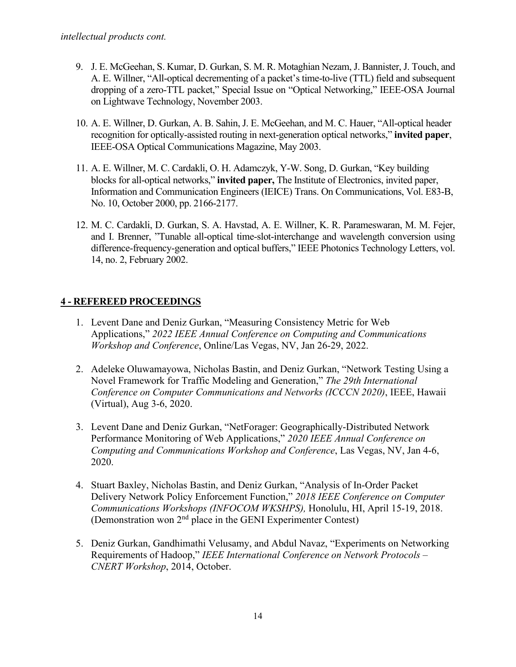- 9. J. E. McGeehan, S. Kumar, D. Gurkan, S. M. R. Motaghian Nezam, J. Bannister, J. Touch, and A. E. Willner, "All-optical decrementing of a packet's time-to-live (TTL) field and subsequent dropping of a zero-TTL packet," Special Issue on "Optical Networking," IEEE-OSA Journal on Lightwave Technology, November 2003.
- 10. A. E. Willner, D. Gurkan, A. B. Sahin, J. E. McGeehan, and M. C. Hauer, "All-optical header recognition for optically-assisted routing in next-generation optical networks," **invited paper**, IEEE-OSA Optical Communications Magazine, May 2003.
- 11. A. E. Willner, M. C. Cardakli, O. H. Adamczyk, Y-W. Song, D. Gurkan, "Key building blocks for all-optical networks," **invited paper,** The Institute of Electronics, invited paper, Information and Communication Engineers (IEICE) Trans. On Communications, Vol. E83-B, No. 10, October 2000, pp. 2166-2177.
- 12. M. C. Cardakli, D. Gurkan, S. A. Havstad, A. E. Willner, K. R. Parameswaran, M. M. Fejer, and I. Brenner, "Tunable all-optical time-slot-interchange and wavelength conversion using difference-frequency-generation and optical buffers," IEEE Photonics Technology Letters, vol. 14, no. 2, February 2002.

## **4 - REFEREED PROCEEDINGS**

- 1. Levent Dane and Deniz Gurkan, "Measuring Consistency Metric for Web Applications," *2022 IEEE Annual Conference on Computing and Communications Workshop and Conference*, Online/Las Vegas, NV, Jan 26-29, 2022.
- 2. Adeleke Oluwamayowa, Nicholas Bastin, and Deniz Gurkan, "Network Testing Using a Novel Framework for Traffic Modeling and Generation," *The 29th International Conference on Computer Communications and Networks (ICCCN 2020)*, IEEE, Hawaii (Virtual), Aug 3-6, 2020.
- 3. Levent Dane and Deniz Gurkan, "NetForager: Geographically-Distributed Network Performance Monitoring of Web Applications," *2020 IEEE Annual Conference on Computing and Communications Workshop and Conference*, Las Vegas, NV, Jan 4-6, 2020.
- 4. Stuart Baxley, Nicholas Bastin, and Deniz Gurkan, "Analysis of In-Order Packet Delivery Network Policy Enforcement Function," *2018 IEEE Conference on Computer Communications Workshops (INFOCOM WKSHPS),* Honolulu, HI, April 15-19, 2018. (Demonstration won  $2<sup>nd</sup>$  place in the GENI Experimenter Contest)
- 5. Deniz Gurkan, Gandhimathi Velusamy, and Abdul Navaz, "Experiments on Networking Requirements of Hadoop," *IEEE International Conference on Network Protocols – CNERT Workshop*, 2014, October.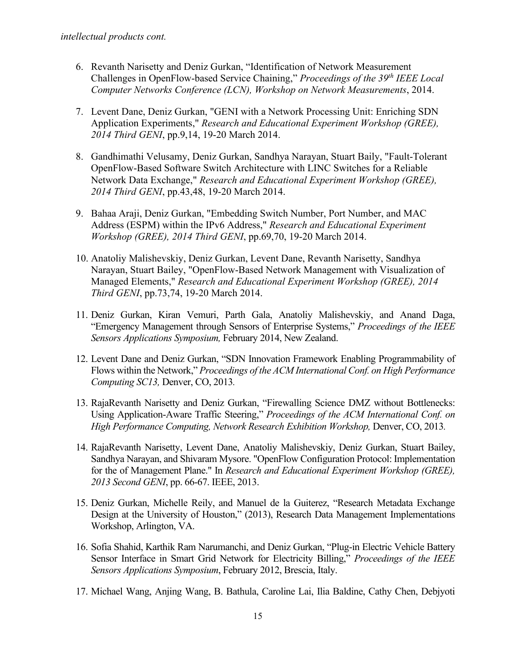- 6. Revanth Narisetty and Deniz Gurkan, "Identification of Network Measurement Challenges in OpenFlow-based Service Chaining," *Proceedings of the 39th IEEE Local Computer Networks Conference (LCN), Workshop on Network Measurements*, 2014.
- 7. Levent Dane, Deniz Gurkan, "GENI with a Network Processing Unit: Enriching SDN Application Experiments," *Research and Educational Experiment Workshop (GREE), 2014 Third GENI*, pp.9,14, 19-20 March 2014.
- 8. Gandhimathi Velusamy, Deniz Gurkan, Sandhya Narayan, Stuart Baily, "Fault-Tolerant OpenFlow-Based Software Switch Architecture with LINC Switches for a Reliable Network Data Exchange," *Research and Educational Experiment Workshop (GREE), 2014 Third GENI*, pp.43,48, 19-20 March 2014.
- 9. Bahaa Araji, Deniz Gurkan, "Embedding Switch Number, Port Number, and MAC Address (ESPM) within the IPv6 Address," *Research and Educational Experiment Workshop (GREE), 2014 Third GENI*, pp.69,70, 19-20 March 2014.
- 10. Anatoliy Malishevskiy, Deniz Gurkan, Levent Dane, Revanth Narisetty, Sandhya Narayan, Stuart Bailey, "OpenFlow-Based Network Management with Visualization of Managed Elements," *Research and Educational Experiment Workshop (GREE), 2014 Third GENI*, pp.73,74, 19-20 March 2014.
- 11. Deniz Gurkan, Kiran Vemuri, Parth Gala, Anatoliy Malishevskiy, and Anand Daga, "Emergency Management through Sensors of Enterprise Systems," *Proceedings of the IEEE Sensors Applications Symposium,* February 2014, New Zealand.
- 12. Levent Dane and Deniz Gurkan, "SDN Innovation Framework Enabling Programmability of Flows within the Network," *Proceedings of the ACM International Conf. on High Performance Computing SC13,* Denver, CO, 2013*.*
- 13. RajaRevanth Narisetty and Deniz Gurkan, "Firewalling Science DMZ without Bottlenecks: Using Application-Aware Traffic Steering," *Proceedings of the ACM International Conf. on High Performance Computing, Network Research Exhibition Workshop, Denver, CO, 2013.*
- 14. RajaRevanth Narisetty, Levent Dane, Anatoliy Malishevskiy, Deniz Gurkan, Stuart Bailey, Sandhya Narayan, and Shivaram Mysore. "OpenFlow Configuration Protocol: Implementation for the of Management Plane." In *Research and Educational Experiment Workshop (GREE), 2013 Second GENI*, pp. 66-67. IEEE, 2013.
- 15. Deniz Gurkan, Michelle Reily, and Manuel de la Guiterez, "Research Metadata Exchange Design at the University of Houston," (2013), Research Data Management Implementations Workshop, Arlington, VA.
- 16. Sofia Shahid, Karthik Ram Narumanchi, and Deniz Gurkan, "Plug-in Electric Vehicle Battery Sensor Interface in Smart Grid Network for Electricity Billing," *Proceedings of the IEEE Sensors Applications Symposium*, February 2012, Brescia, Italy.
- 17. Michael Wang, Anjing Wang, B. Bathula, Caroline Lai, Ilia Baldine, Cathy Chen, Debjyoti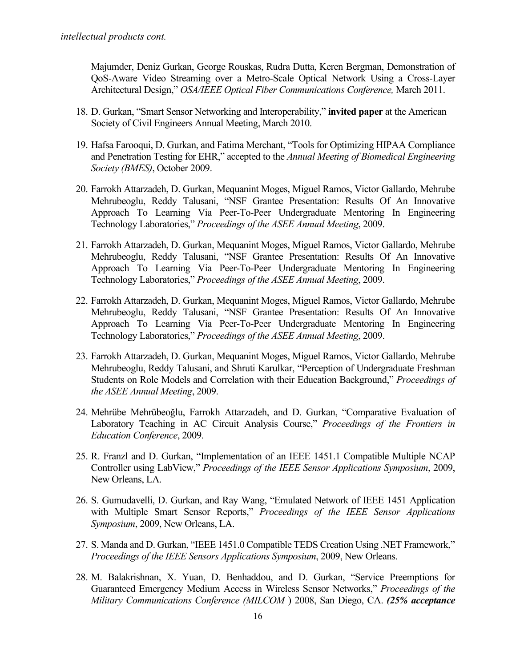Majumder, Deniz Gurkan, George Rouskas, Rudra Dutta, Keren Bergman, Demonstration of QoS-Aware Video Streaming over a Metro-Scale Optical Network Using a Cross-Layer Architectural Design," *OSA/IEEE Optical Fiber Communications Conference,* March 2011.

- 18. D. Gurkan, "Smart Sensor Networking and Interoperability," **invited paper** at the American Society of Civil Engineers Annual Meeting, March 2010.
- 19. Hafsa Farooqui, D. Gurkan, and Fatima Merchant, "Tools for Optimizing HIPAA Compliance and Penetration Testing for EHR," accepted to the *Annual Meeting of Biomedical Engineering Society (BMES)*, October 2009.
- 20. Farrokh Attarzadeh, D. Gurkan, Mequanint Moges, Miguel Ramos, Victor Gallardo, Mehrube Mehrubeoglu, Reddy Talusani, "NSF Grantee Presentation: Results Of An Innovative Approach To Learning Via Peer-To-Peer Undergraduate Mentoring In Engineering Technology Laboratories," *Proceedings of the ASEE Annual Meeting*, 2009.
- 21. Farrokh Attarzadeh, D. Gurkan, Mequanint Moges, Miguel Ramos, Victor Gallardo, Mehrube Mehrubeoglu, Reddy Talusani, "NSF Grantee Presentation: Results Of An Innovative Approach To Learning Via Peer-To-Peer Undergraduate Mentoring In Engineering Technology Laboratories," *Proceedings of the ASEE Annual Meeting*, 2009.
- 22. Farrokh Attarzadeh, D. Gurkan, Mequanint Moges, Miguel Ramos, Victor Gallardo, Mehrube Mehrubeoglu, Reddy Talusani, "NSF Grantee Presentation: Results Of An Innovative Approach To Learning Via Peer-To-Peer Undergraduate Mentoring In Engineering Technology Laboratories," *Proceedings of the ASEE Annual Meeting*, 2009.
- 23. Farrokh Attarzadeh, D. Gurkan, Mequanint Moges, Miguel Ramos, Victor Gallardo, Mehrube Mehrubeoglu, Reddy Talusani, and Shruti Karulkar, "Perception of Undergraduate Freshman Students on Role Models and Correlation with their Education Background," *Proceedings of the ASEE Annual Meeting*, 2009.
- 24. Mehrübe Mehrübeoğlu, Farrokh Attarzadeh, and D. Gurkan, "Comparative Evaluation of Laboratory Teaching in AC Circuit Analysis Course," *Proceedings of the Frontiers in Education Conference*, 2009.
- 25. R. Franzl and D. Gurkan, "Implementation of an IEEE 1451.1 Compatible Multiple NCAP Controller using LabView," *Proceedings of the IEEE Sensor Applications Symposium*, 2009, New Orleans, LA.
- 26. S. Gumudavelli, D. Gurkan, and Ray Wang, "Emulated Network of IEEE 1451 Application with Multiple Smart Sensor Reports," *Proceedings of the IEEE Sensor Applications Symposium*, 2009, New Orleans, LA.
- 27. S. Manda and D. Gurkan, "IEEE 1451.0 Compatible TEDS Creation Using .NET Framework," *Proceedings of the IEEE Sensors Applications Symposium*, 2009, New Orleans.
- 28. M. Balakrishnan, X. Yuan, D. Benhaddou, and D. Gurkan, "Service Preemptions for Guaranteed Emergency Medium Access in Wireless Sensor Networks," *Proceedings of the Military Communications Conference (MILCOM* ) 2008, San Diego, CA. *(25% acceptance*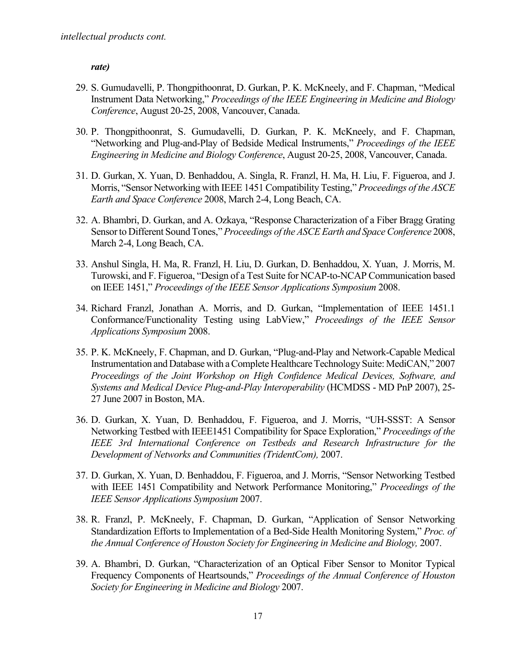*rate)*

- 29. S. Gumudavelli, P. Thongpithoonrat, D. Gurkan, P. K. McKneely, and F. Chapman, "Medical Instrument Data Networking," *Proceedings of the IEEE Engineering in Medicine and Biology Conference*, August 20-25, 2008, Vancouver, Canada.
- 30. P. Thongpithoonrat, S. Gumudavelli, D. Gurkan, P. K. McKneely, and F. Chapman, "Networking and Plug-and-Play of Bedside Medical Instruments," *Proceedings of the IEEE Engineering in Medicine and Biology Conference*, August 20-25, 2008, Vancouver, Canada.
- 31. D. Gurkan, X. Yuan, D. Benhaddou, A. Singla, R. Franzl, H. Ma, H. Liu, F. Figueroa, and J. Morris, "Sensor Networking with IEEE 1451 Compatibility Testing," *Proceedings of the ASCE Earth and Space Conference* 2008, March 2-4, Long Beach, CA.
- 32. A. Bhambri, D. Gurkan, and A. Ozkaya, "Response Characterization of a Fiber Bragg Grating Sensor to Different Sound Tones," *Proceedings of the ASCE Earth and Space Conference* 2008, March 2-4, Long Beach, CA.
- 33. Anshul Singla, H. Ma, R. Franzl, H. Liu, D. Gurkan, D. Benhaddou, X. Yuan, J. Morris, M. Turowski, and F. Figueroa, "Design of a Test Suite for NCAP-to-NCAP Communication based on IEEE 1451," *Proceedings of the IEEE Sensor Applications Symposium* 2008.
- 34. Richard Franzl, Jonathan A. Morris, and D. Gurkan, "Implementation of IEEE 1451.1 Conformance/Functionality Testing using LabView," *Proceedings of the IEEE Sensor Applications Symposium* 2008.
- 35. P. K. McKneely, F. Chapman, and D. Gurkan, "Plug-and-Play and Network-Capable Medical Instrumentation and Database with a Complete Healthcare Technology Suite: MediCAN," 2007 *Proceedings of the Joint Workshop on High Confidence Medical Devices, Software, and Systems and Medical Device Plug-and-Play Interoperability* (HCMDSS - MD PnP 2007), 25- 27 June 2007 in Boston, MA.
- 36. D. Gurkan, X. Yuan, D. Benhaddou, F. Figueroa, and J. Morris, "UH-SSST: A Sensor Networking Testbed with IEEE1451 Compatibility for Space Exploration," *Proceedings of the IEEE 3rd International Conference on Testbeds and Research Infrastructure for the Development of Networks and Communities (TridentCom),* 2007.
- 37. D. Gurkan, X. Yuan, D. Benhaddou, F. Figueroa, and J. Morris, "Sensor Networking Testbed with IEEE 1451 Compatibility and Network Performance Monitoring," *Proceedings of the IEEE Sensor Applications Symposium* 2007.
- 38. R. Franzl, P. McKneely, F. Chapman, D. Gurkan, "Application of Sensor Networking Standardization Efforts to Implementation of a Bed-Side Health Monitoring System," *Proc. of the Annual Conference of Houston Society for Engineering in Medicine and Biology,* 2007.
- 39. A. Bhambri, D. Gurkan, "Characterization of an Optical Fiber Sensor to Monitor Typical Frequency Components of Heartsounds," *Proceedings of the Annual Conference of Houston Society for Engineering in Medicine and Biology* 2007.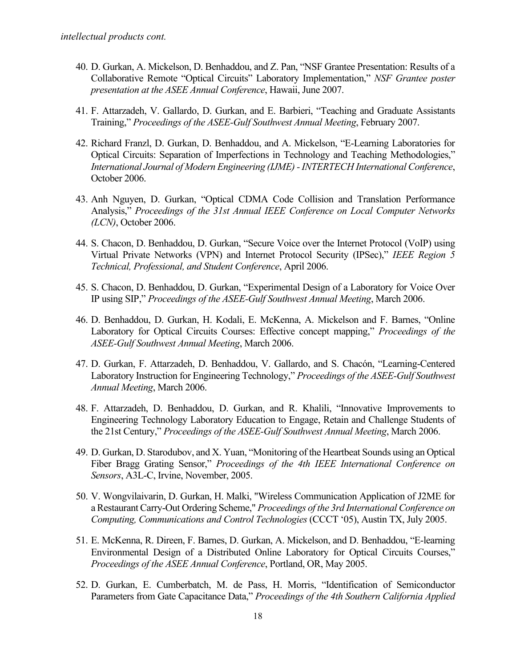- 40. D. Gurkan, A. Mickelson, D. Benhaddou, and Z. Pan, "NSF Grantee Presentation: Results of a Collaborative Remote "Optical Circuits" Laboratory Implementation," *NSF Grantee poster presentation at the ASEE Annual Conference*, Hawaii, June 2007.
- 41. F. Attarzadeh, V. Gallardo, D. Gurkan, and E. Barbieri, "Teaching and Graduate Assistants Training," *Proceedings of the ASEE-Gulf Southwest Annual Meeting*, February 2007.
- 42. Richard Franzl, D. Gurkan, D. Benhaddou, and A. Mickelson, "E-Learning Laboratories for Optical Circuits: Separation of Imperfections in Technology and Teaching Methodologies," *International Journal of Modern Engineering (IJME) - INTERTECH International Conference*, October 2006.
- 43. Anh Nguyen, D. Gurkan, "Optical CDMA Code Collision and Translation Performance Analysis," *Proceedings of the 31st Annual IEEE Conference on Local Computer Networks (LCN)*, October 2006.
- 44. S. Chacon, D. Benhaddou, D. Gurkan, "Secure Voice over the Internet Protocol (VoIP) using Virtual Private Networks (VPN) and Internet Protocol Security (IPSec)," *IEEE Region 5 Technical, Professional, and Student Conference*, April 2006.
- 45. S. Chacon, D. Benhaddou, D. Gurkan, "Experimental Design of a Laboratory for Voice Over IP using SIP," *Proceedings of the ASEE-Gulf Southwest Annual Meeting*, March 2006.
- 46. D. Benhaddou, D. Gurkan, H. Kodali, E. McKenna, A. Mickelson and F. Barnes, "Online Laboratory for Optical Circuits Courses: Effective concept mapping," *Proceedings of the ASEE-Gulf Southwest Annual Meeting*, March 2006.
- 47. D. Gurkan, F. Attarzadeh, D. Benhaddou, V. Gallardo, and S. Chacόn, "Learning-Centered Laboratory Instruction for Engineering Technology," *Proceedings of the ASEE-Gulf Southwest Annual Meeting*, March 2006.
- 48. F. Attarzadeh, D. Benhaddou, D. Gurkan, and R. Khalili, "Innovative Improvements to Engineering Technology Laboratory Education to Engage, Retain and Challenge Students of the 21st Century," *Proceedings of the ASEE-Gulf Southwest Annual Meeting*, March 2006.
- 49. D. Gurkan, D. Starodubov, and X. Yuan, "Monitoring of the Heartbeat Sounds using an Optical Fiber Bragg Grating Sensor," *Proceedings of the 4th IEEE International Conference on Sensors*, A3L-C, Irvine, November, 2005.
- 50. V. Wongvilaivarin, D. Gurkan, H. Malki, "Wireless Communication Application of J2ME for a Restaurant Carry-Out Ordering Scheme," *Proceedings of the 3rd International Conference on Computing, Communications and Control Technologies* (CCCT '05), Austin TX, July 2005.
- 51. E. McKenna, R. Direen, F. Barnes, D. Gurkan, A. Mickelson, and D. Benhaddou, "E-learning Environmental Design of a Distributed Online Laboratory for Optical Circuits Courses," *Proceedings of the ASEE Annual Conference*, Portland, OR, May 2005.
- 52. D. Gurkan, E. Cumberbatch, M. de Pass, H. Morris, "Identification of Semiconductor Parameters from Gate Capacitance Data," *Proceedings of the 4th Southern California Applied*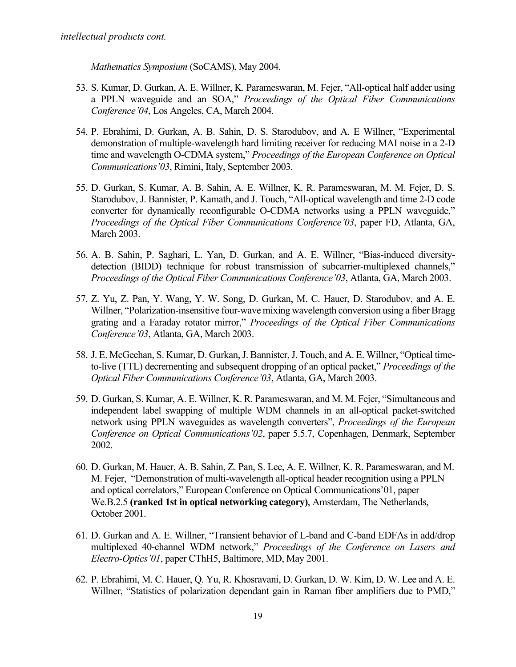*Mathematics Symposium* (SoCAMS), May 2004.

- 53. S. Kumar, D. Gurkan, A. E. Willner, K. Parameswaran, M. Fejer, "All-optical half adder using a PPLN waveguide and an SOA," *Proceedings of the Optical Fiber Communications Conference'04*, Los Angeles, CA, March 2004.
- 54. P. Ebrahimi, D. Gurkan, A. B. Sahin, D. S. Starodubov, and A. E Willner, "Experimental demonstration of multiple-wavelength hard limiting receiver for reducing MAI noise in a 2-D time and wavelength O-CDMA system," *Proceedings of the European Conference on Optical Communications'03*, Rimini, Italy, September 2003.
- 55. D. Gurkan, S. Kumar, A. B. Sahin, A. E. Willner, K. R. Parameswaran, M. M. Fejer, D. S. Starodubov, J. Bannister, P. Kamath, and J. Touch, "All-optical wavelength and time 2-D code converter for dynamically reconfigurable O-CDMA networks using a PPLN waveguide," *Proceedings of the Optical Fiber Communications Conference'03*, paper FD, Atlanta, GA, March 2003.
- 56. A. B. Sahin, P. Saghari, L. Yan, D. Gurkan, and A. E. Willner, "Bias-induced diversitydetection (BIDD) technique for robust transmission of subcarrier-multiplexed channels," *Proceedings of the Optical Fiber Communications Conference'03*, Atlanta, GA, March 2003.
- 57. Z. Yu, Z. Pan, Y. Wang, Y. W. Song, D. Gurkan, M. C. Hauer, D. Starodubov, and A. E. Willner, "Polarization-insensitive four-wave mixing wavelength conversion using a fiber Bragg grating and a Faraday rotator mirror," *Proceedings of the Optical Fiber Communications Conference'03*, Atlanta, GA, March 2003.
- 58. J. E. McGeehan, S. Kumar, D. Gurkan, J. Bannister, J. Touch, and A. E. Willner, "Optical timeto-live (TTL) decrementing and subsequent dropping of an optical packet," *Proceedings of the Optical Fiber Communications Conference'03*, Atlanta, GA, March 2003.
- 59. D. Gurkan, S. Kumar, A. E. Willner, K. R. Parameswaran, and M. M. Fejer, "Simultaneous and independent label swapping of multiple WDM channels in an all-optical packet-switched network using PPLN waveguides as wavelength converters", *Proceedings of the European Conference on Optical Communications'02*, paper 5.5.7, Copenhagen, Denmark, September 2002.
- 60. D. Gurkan, M. Hauer, A. B. Sahin, Z. Pan, S. Lee, A. E. Willner, K. R. Parameswaran, and M. M. Fejer, "Demonstration of multi-wavelength all-optical header recognition using a PPLN and optical correlators," European Conference on Optical Communications'01, paper We.B.2.5 **(ranked 1st in optical networking category)**, Amsterdam, The Netherlands, October 2001.
- 61. D. Gurkan and A. E. Willner, "Transient behavior of L-band and C-band EDFAs in add/drop multiplexed 40-channel WDM network," *Proceedings of the Conference on Lasers and Electro-Optics'01*, paper CThH5, Baltimore, MD, May 2001.
- 62. P. Ebrahimi, M. C. Hauer, Q. Yu, R. Khosravani, D. Gurkan, D. W. Kim, D. W. Lee and A. E. Willner, "Statistics of polarization dependant gain in Raman fiber amplifiers due to PMD,"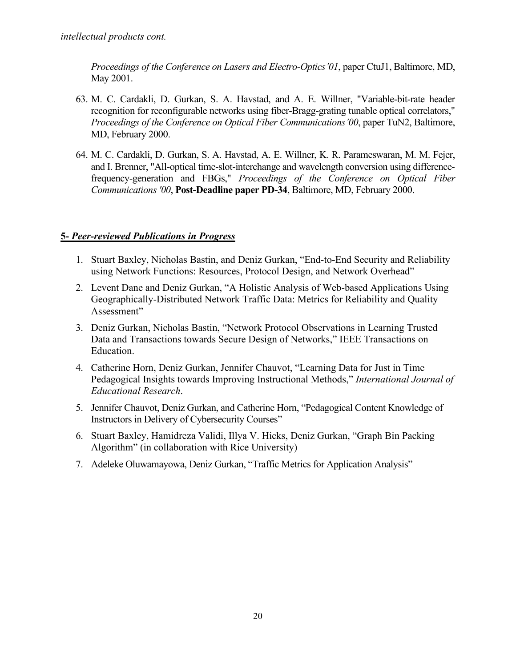*Proceedings of the Conference on Lasers and Electro-Optics'01*, paper CtuJ1, Baltimore, MD, May 2001.

- 63. M. C. Cardakli, D. Gurkan, S. A. Havstad, and A. E. Willner, "Variable-bit-rate header recognition for reconfigurable networks using fiber-Bragg-grating tunable optical correlators," *Proceedings of the Conference on Optical Fiber Communications'00*, paper TuN2, Baltimore, MD, February 2000.
- 64. M. C. Cardakli, D. Gurkan, S. A. Havstad, A. E. Willner, K. R. Parameswaran, M. M. Fejer, and I. Brenner, "All-optical time-slot-interchange and wavelength conversion using differencefrequency-generation and FBGs," *Proceedings of the Conference on Optical Fiber Communications '00*, **Post-Deadline paper PD-34**, Baltimore, MD, February 2000.

### **5-** *Peer-reviewed Publications in Progress*

- 1. Stuart Baxley, Nicholas Bastin, and Deniz Gurkan, "End-to-End Security and Reliability using Network Functions: Resources, Protocol Design, and Network Overhead"
- 2. Levent Dane and Deniz Gurkan, "A Holistic Analysis of Web-based Applications Using Geographically-Distributed Network Traffic Data: Metrics for Reliability and Quality Assessment"
- 3. Deniz Gurkan, Nicholas Bastin, "Network Protocol Observations in Learning Trusted Data and Transactions towards Secure Design of Networks," IEEE Transactions on Education.
- 4. Catherine Horn, Deniz Gurkan, Jennifer Chauvot, "Learning Data for Just in Time Pedagogical Insights towards Improving Instructional Methods," *International Journal of Educational Research*.
- 5. Jennifer Chauvot, Deniz Gurkan, and Catherine Horn, "Pedagogical Content Knowledge of Instructors in Delivery of Cybersecurity Courses"
- 6. Stuart Baxley, Hamidreza Validi, Illya V. Hicks, Deniz Gurkan, "Graph Bin Packing Algorithm" (in collaboration with Rice University)
- 7. Adeleke Oluwamayowa, Deniz Gurkan, "Traffic Metrics for Application Analysis"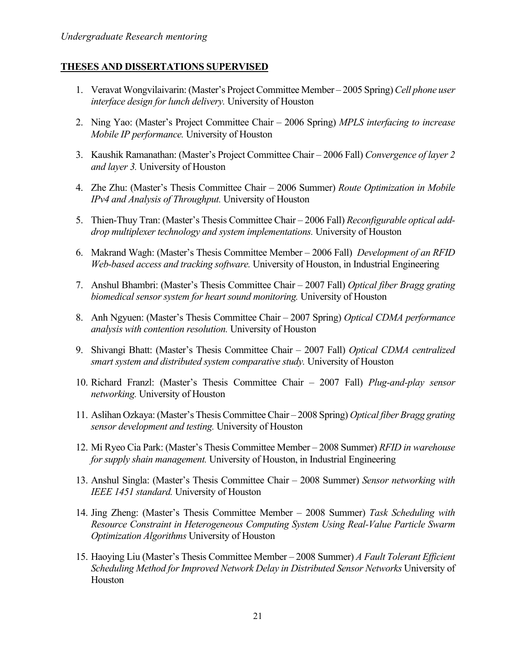#### **THESES AND DISSERTATIONS SUPERVISED**

- 1. Veravat Wongvilaivarin: (Master's Project Committee Member 2005 Spring) *Cell phone user interface design for lunch delivery.* University of Houston
- 2. Ning Yao: (Master's Project Committee Chair 2006 Spring) *MPLS interfacing to increase Mobile IP performance.* University of Houston
- 3. Kaushik Ramanathan: (Master's Project Committee Chair 2006 Fall) *Convergence of layer 2 and layer 3.* University of Houston
- 4. Zhe Zhu: (Master's Thesis Committee Chair 2006 Summer) *Route Optimization in Mobile IPv4 and Analysis of Throughput.* University of Houston
- 5. Thien-Thuy Tran: (Master's Thesis Committee Chair 2006 Fall) *Reconfigurable optical adddrop multiplexer technology and system implementations.* University of Houston
- 6. Makrand Wagh: (Master's Thesis Committee Member 2006 Fall) *Development of an RFID Web-based access and tracking software.* University of Houston, in Industrial Engineering
- 7. Anshul Bhambri: (Master's Thesis Committee Chair 2007 Fall) *Optical fiber Bragg grating biomedical sensor system for heart sound monitoring.* University of Houston
- 8. Anh Ngyuen: (Master's Thesis Committee Chair 2007 Spring) *Optical CDMA performance analysis with contention resolution.* University of Houston
- 9. Shivangi Bhatt: (Master's Thesis Committee Chair 2007 Fall) *Optical CDMA centralized smart system and distributed system comparative study.* University of Houston
- 10. Richard Franzl: (Master's Thesis Committee Chair 2007 Fall) *Plug-and-play sensor networking.* University of Houston
- 11. Aslihan Ozkaya: (Master's Thesis Committee Chair 2008 Spring) *Optical fiber Bragg grating sensor development and testing.* University of Houston
- 12. Mi Ryeo Cia Park: (Master's Thesis Committee Member 2008 Summer) *RFID in warehouse for supply shain management.* University of Houston, in Industrial Engineering
- 13. Anshul Singla: (Master's Thesis Committee Chair 2008 Summer) *Sensor networking with IEEE 1451 standard.* University of Houston
- 14. Jing Zheng: (Master's Thesis Committee Member 2008 Summer) *Task Scheduling with Resource Constraint in Heterogeneous Computing System Using Real-Value Particle Swarm Optimization Algorithms* University of Houston
- 15. Haoying Liu (Master's Thesis Committee Member 2008 Summer) *A Fault Tolerant Efficient Scheduling Method for Improved Network Delay in Distributed Sensor Networks* University of Houston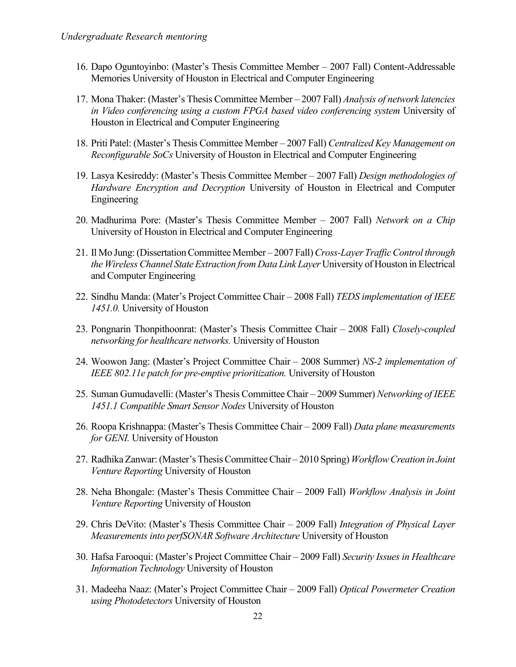- 16. Dapo Oguntoyinbo: (Master's Thesis Committee Member 2007 Fall) Content-Addressable Memories University of Houston in Electrical and Computer Engineering
- 17. Mona Thaker: (Master's Thesis Committee Member 2007 Fall) *Analysis of network latencies in Video conferencing using a custom FPGA based video conferencing system* University of Houston in Electrical and Computer Engineering
- 18. Priti Patel: (Master's Thesis Committee Member 2007 Fall) *Centralized Key Management on Reconfigurable SoCs* University of Houston in Electrical and Computer Engineering
- 19. Lasya Kesireddy: (Master's Thesis Committee Member 2007 Fall) *Design methodologies of Hardware Encryption and Decryption* University of Houston in Electrical and Computer Engineering
- 20. Madhurima Pore: (Master's Thesis Committee Member 2007 Fall) *Network on a Chip* University of Houston in Electrical and Computer Engineering
- 21. Il Mo Jung: (Dissertation Committee Member 2007 Fall) *Cross-Layer Traffic Control through the Wireless Channel State Extraction from Data Link Layer* University of Houston in Electrical and Computer Engineering
- 22. Sindhu Manda: (Mater's Project Committee Chair 2008 Fall) *TEDS implementation of IEEE 1451.0.* University of Houston
- 23. Pongnarin Thonpithoonrat: (Master's Thesis Committee Chair 2008 Fall) *Closely-coupled networking for healthcare networks.* University of Houston
- 24. Woowon Jang: (Master's Project Committee Chair 2008 Summer) *NS-2 implementation of IEEE 802.11e patch for pre-emptive prioritization.* University of Houston
- 25. Suman Gumudavelli: (Master's Thesis Committee Chair 2009 Summer) *Networking of IEEE 1451.1 Compatible Smart Sensor Nodes* University of Houston
- 26. Roopa Krishnappa: (Master's Thesis Committee Chair 2009 Fall) *Data plane measurements for GENI.* University of Houston
- 27. Radhika Zanwar: (Master's Thesis Committee Chair 2010 Spring) *Workflow Creation in Joint Venture Reporting* University of Houston
- 28. Neha Bhongale: (Master's Thesis Committee Chair 2009 Fall) *Workflow Analysis in Joint Venture Reporting* University of Houston
- 29. Chris DeVito: (Master's Thesis Committee Chair 2009 Fall) *Integration of Physical Layer Measurements into perfSONAR Software Architecture* University of Houston
- 30. Hafsa Farooqui: (Master's Project Committee Chair 2009 Fall) *Security Issues in Healthcare Information Technology* University of Houston
- 31. Madeeha Naaz: (Mater's Project Committee Chair 2009 Fall) *Optical Powermeter Creation using Photodetectors* University of Houston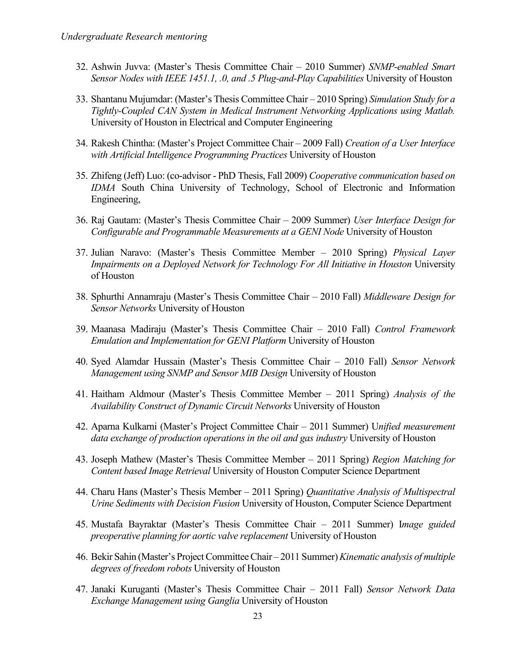- 32. Ashwin Juvva: (Master's Thesis Committee Chair 2010 Summer) *SNMP-enabled Smart Sensor Nodes with IEEE 1451.1, .0, and .5 Plug-and-Play Capabilities* University of Houston
- 33. Shantanu Mujumdar: (Master's Thesis Committee Chair 2010 Spring) *Simulation Study for a Tightly-Coupled CAN System in Medical Instrument Networking Applications using Matlab.* University of Houston in Electrical and Computer Engineering
- 34. Rakesh Chintha: (Master's Project Committee Chair 2009 Fall) *Creation of a User Interface with Artificial Intelligence Programming Practices* University of Houston
- 35. Zhifeng (Jeff) Luo: (co-advisor PhD Thesis, Fall 2009) *Cooperative communication based on IDMA* South China University of Technology, School of Electronic and Information Engineering,
- 36. Raj Gautam: (Master's Thesis Committee Chair 2009 Summer) *User Interface Design for Configurable and Programmable Measurements at a GENI Node* University of Houston
- 37. Julian Naravo: (Master's Thesis Committee Member 2010 Spring) *Physical Layer Impairments on a Deployed Network for Technology For All Initiative in Houston* University of Houston
- 38. Sphurthi Annamraju (Master's Thesis Committee Chair 2010 Fall) *Middleware Design for Sensor Networks* University of Houston
- 39. Maanasa Madiraju (Master's Thesis Committee Chair 2010 Fall) *Control Framework Emulation and Implementation for GENI Platform* University of Houston
- 40. Syed Alamdar Hussain (Master's Thesis Committee Chair 2010 Fall) *Sensor Network Management using SNMP and Sensor MIB Design* University of Houston
- 41. Haitham Aldmour (Master's Thesis Committee Member 2011 Spring) *Analysis of the Availability Construct of Dynamic Circuit Networks* University of Houston
- 42. Aparna Kulkarni (Master's Project Committee Chair 2011 Summer) U*nified measurement data exchange of production operations in the oil and gas industry* University of Houston
- 43. Joseph Mathew (Master's Thesis Committee Member 2011 Spring) *Region Matching for Content based Image Retrieval* University of Houston Computer Science Department
- 44. Charu Hans (Master's Thesis Member 2011 Spring) *Quantitative Analysis of Multispectral Urine Sediments with Decision Fusion* University of Houston, Computer Science Department
- 45. Mustafa Bayraktar (Master's Thesis Committee Chair 2011 Summer) I*mage guided preoperative planning for aortic valve replacement* University of Houston
- 46. Bekir Sahin (Master's Project Committee Chair 2011 Summer) *Kinematic analysis of multiple degrees of freedom robots* University of Houston
- 47. Janaki Kuruganti (Master's Thesis Committee Chair 2011 Fall) *Sensor Network Data Exchange Management using Ganglia* University of Houston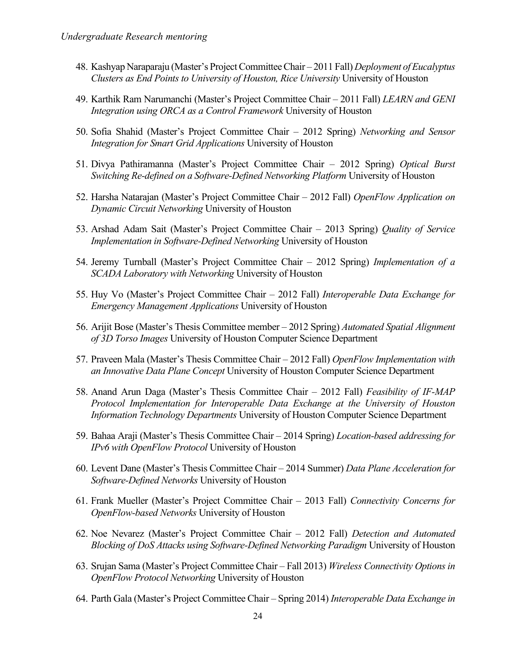- 48. Kashyap Naraparaju (Master's Project Committee Chair 2011 Fall) *Deployment of Eucalyptus Clusters as End Points to University of Houston, Rice University* University of Houston
- 49. Karthik Ram Narumanchi (Master's Project Committee Chair 2011 Fall) *LEARN and GENI Integration using ORCA as a Control Framework* University of Houston
- 50. Sofia Shahid (Master's Project Committee Chair 2012 Spring) *Networking and Sensor Integration for Smart Grid Applications* University of Houston
- 51. Divya Pathiramanna (Master's Project Committee Chair 2012 Spring) *Optical Burst Switching Re-defined on a Software-Defined Networking Platform* University of Houston
- 52. Harsha Natarajan (Master's Project Committee Chair 2012 Fall) *OpenFlow Application on Dynamic Circuit Networking* University of Houston
- 53. Arshad Adam Sait (Master's Project Committee Chair 2013 Spring) *Quality of Service Implementation in Software-Defined Networking* University of Houston
- 54. Jeremy Turnball (Master's Project Committee Chair 2012 Spring) *Implementation of a SCADA Laboratory with Networking* University of Houston
- 55. Huy Vo (Master's Project Committee Chair 2012 Fall) *Interoperable Data Exchange for Emergency Management Applications* University of Houston
- 56. Arijit Bose (Master's Thesis Committee member 2012 Spring) *Automated Spatial Alignment of 3D Torso Images* University of Houston Computer Science Department
- 57. Praveen Mala (Master's Thesis Committee Chair 2012 Fall) *OpenFlow Implementation with an Innovative Data Plane Concept* University of Houston Computer Science Department
- 58. Anand Arun Daga (Master's Thesis Committee Chair 2012 Fall) *Feasibility of IF-MAP Protocol Implementation for Interoperable Data Exchange at the University of Houston Information Technology Departments* University of Houston Computer Science Department
- 59. Bahaa Araji (Master's Thesis Committee Chair 2014 Spring) *Location-based addressing for IPv6 with OpenFlow Protocol* University of Houston
- 60. Levent Dane (Master's Thesis Committee Chair 2014 Summer) *Data Plane Acceleration for Software-Defined Networks* University of Houston
- 61. Frank Mueller (Master's Project Committee Chair 2013 Fall) *Connectivity Concerns for OpenFlow-based Networks* University of Houston
- 62. Noe Nevarez (Master's Project Committee Chair 2012 Fall) *Detection and Automated Blocking of DoS Attacks using Software-Defined Networking Paradigm* University of Houston
- 63. Srujan Sama (Master's Project Committee Chair Fall 2013) *Wireless Connectivity Options in OpenFlow Protocol Networking* University of Houston
- 64. Parth Gala (Master's Project Committee Chair Spring 2014) *Interoperable Data Exchange in*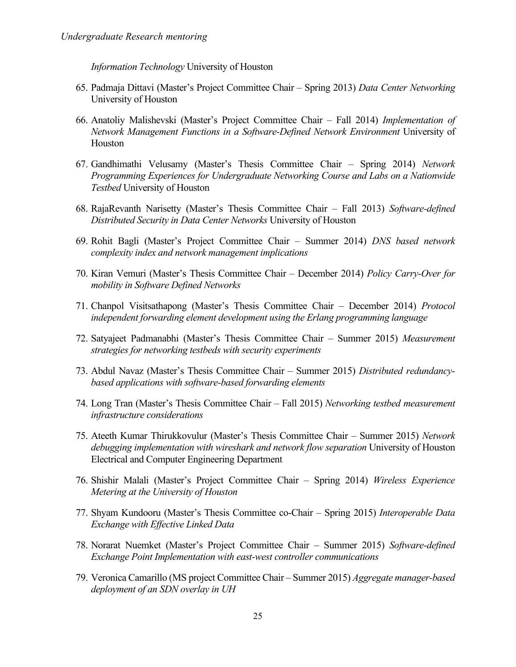*Information Technology* University of Houston

- 65. Padmaja Dittavi (Master's Project Committee Chair Spring 2013) *Data Center Networking* University of Houston
- 66. Anatoliy Malishevski (Master's Project Committee Chair Fall 2014) *Implementation of Network Management Functions in a Software-Defined Network Environment* University of Houston
- 67. Gandhimathi Velusamy (Master's Thesis Committee Chair Spring 2014) *Network Programming Experiences for Undergraduate Networking Course and Labs on a Nationwide Testbed* University of Houston
- 68. RajaRevanth Narisetty (Master's Thesis Committee Chair Fall 2013) *Software-defined Distributed Security in Data Center Networks* University of Houston
- 69. Rohit Bagli (Master's Project Committee Chair Summer 2014) *DNS based network complexity index and network management implications*
- 70. Kiran Vemuri (Master's Thesis Committee Chair December 2014) *Policy Carry-Over for mobility in Software Defined Networks*
- 71. Chanpol Visitsathapong (Master's Thesis Committee Chair December 2014) *Protocol independent forwarding element development using the Erlang programming language*
- 72. Satyajeet Padmanabhi (Master's Thesis Committee Chair Summer 2015) *Measurement strategies for networking testbeds with security experiments*
- 73. Abdul Navaz (Master's Thesis Committee Chair Summer 2015) *Distributed redundancybased applications with software-based forwarding elements*
- 74. Long Tran (Master's Thesis Committee Chair Fall 2015) *Networking testbed measurement infrastructure considerations*
- 75. Ateeth Kumar Thirukkovulur (Master's Thesis Committee Chair Summer 2015) *Network debugging implementation with wireshark and network flow separation* University of Houston Electrical and Computer Engineering Department
- 76. Shishir Malali (Master's Project Committee Chair Spring 2014) *Wireless Experience Metering at the University of Houston*
- 77. Shyam Kundooru (Master's Thesis Committee co-Chair Spring 2015) *Interoperable Data Exchange with Effective Linked Data*
- 78. Norarat Nuemket (Master's Project Committee Chair Summer 2015) *Software-defined Exchange Point Implementation with east-west controller communications*
- 79. Veronica Camarillo (MS project Committee Chair Summer 2015) *Aggregate manager-based deployment of an SDN overlay in UH*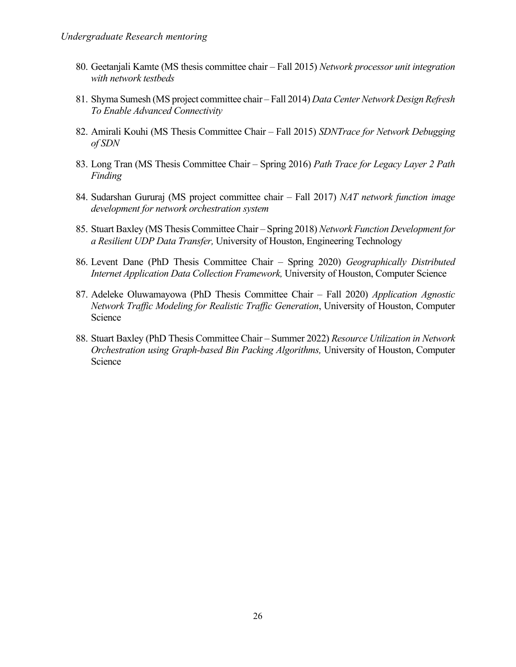- 80. Geetanjali Kamte (MS thesis committee chair Fall 2015) *Network processor unit integration with network testbeds*
- 81. Shyma Sumesh (MS project committee chair Fall 2014) *Data Center Network Design Refresh To Enable Advanced Connectivity*
- 82. Amirali Kouhi (MS Thesis Committee Chair Fall 2015) *SDNTrace for Network Debugging of SDN*
- 83. Long Tran (MS Thesis Committee Chair Spring 2016) *Path Trace for Legacy Layer 2 Path Finding*
- 84. Sudarshan Gururaj (MS project committee chair Fall 2017) *NAT network function image development for network orchestration system*
- 85. Stuart Baxley (MS Thesis Committee Chair Spring 2018) *Network Function Development for a Resilient UDP Data Transfer,* University of Houston, Engineering Technology
- 86. Levent Dane (PhD Thesis Committee Chair Spring 2020) *Geographically Distributed Internet Application Data Collection Framework,* University of Houston, Computer Science
- 87. Adeleke Oluwamayowa (PhD Thesis Committee Chair Fall 2020) *Application Agnostic Network Traffic Modeling for Realistic Traffic Generation*, University of Houston, Computer Science
- 88. Stuart Baxley (PhD Thesis Committee Chair Summer 2022) *Resource Utilization in Network Orchestration using Graph-based Bin Packing Algorithms,* University of Houston, Computer Science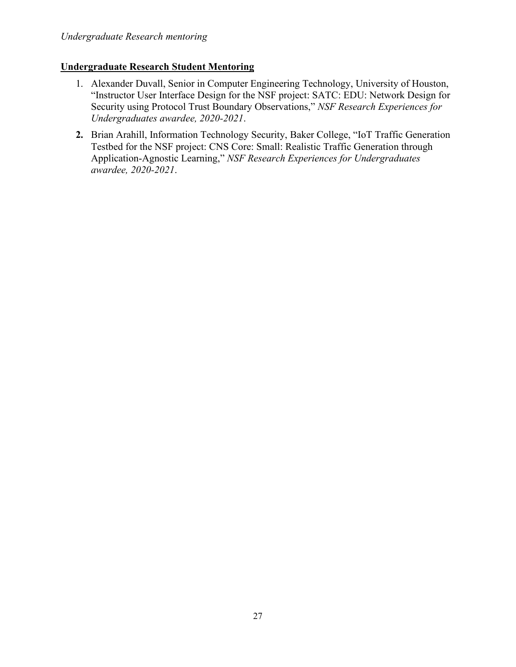## **Undergraduate Research Student Mentoring**

- 1. Alexander Duvall, Senior in Computer Engineering Technology, University of Houston, "Instructor User Interface Design for the NSF project: SATC: EDU: Network Design for Security using Protocol Trust Boundary Observations," *NSF Research Experiences for Undergraduates awardee, 2020-2021*.
- **2.** Brian Arahill, Information Technology Security, Baker College, "IoT Traffic Generation Testbed for the NSF project: CNS Core: Small: Realistic Traffic Generation through Application-Agnostic Learning," *NSF Research Experiences for Undergraduates awardee, 2020-2021*.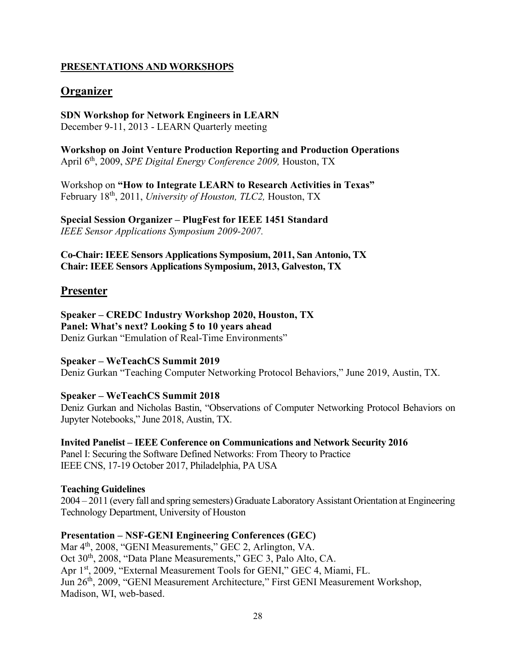### **PRESENTATIONS AND WORKSHOPS**

## **Organizer**

**SDN Workshop for Network Engineers in LEARN** December 9-11, 2013 - LEARN Quarterly meeting

**Workshop on Joint Venture Production Reporting and Production Operations** April 6th, 2009, *SPE Digital Energy Conference 2009,* Houston, TX

Workshop on **"How to Integrate LEARN to Research Activities in Texas"** February 18th, 2011, *University of Houston, TLC2,* Houston, TX

**Special Session Organizer – PlugFest for IEEE 1451 Standard** *IEEE Sensor Applications Symposium 2009-2007.*

**Co-Chair: IEEE Sensors Applications Symposium, 2011, San Antonio, TX Chair: IEEE Sensors Applications Symposium, 2013, Galveston, TX**

#### **Presenter**

**Speaker – CREDC Industry Workshop 2020, Houston, TX Panel: What's next? Looking 5 to 10 years ahead** Deniz Gurkan "Emulation of Real-Time Environments"

**Speaker – WeTeachCS Summit 2019** Deniz Gurkan "Teaching Computer Networking Protocol Behaviors," June 2019, Austin, TX.

**Speaker – WeTeachCS Summit 2018**

Deniz Gurkan and Nicholas Bastin, "Observations of Computer Networking Protocol Behaviors on Jupyter Notebooks," June 2018, Austin, TX.

**Invited Panelist – IEEE Conference on Communications and Network Security 2016** Panel I: Securing the Software Defined Networks: From Theory to Practice IEEE CNS, 17-19 October 2017, Philadelphia, PA USA

#### **Teaching Guidelines**

2004 – 2011 (every fall and spring semesters) Graduate Laboratory Assistant Orientation at Engineering Technology Department, University of Houston

#### **Presentation – NSF-GENI Engineering Conferences (GEC)**

Mar 4<sup>th</sup>, 2008, "GENI Measurements," GEC 2, Arlington, VA. Oct 30<sup>th</sup>, 2008, "Data Plane Measurements," GEC 3, Palo Alto, CA. Apr 1<sup>st</sup>, 2009, "External Measurement Tools for GENI," GEC 4, Miami, FL. Jun 26th, 2009, "GENI Measurement Architecture," First GENI Measurement Workshop, Madison, WI, web-based.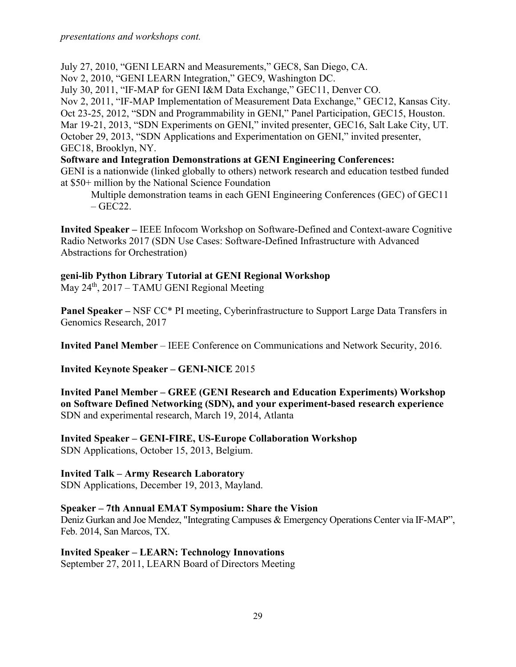July 27, 2010, "GENI LEARN and Measurements," GEC8, San Diego, CA. Nov 2, 2010, "GENI LEARN Integration," GEC9, Washington DC. July 30, 2011, "IF-MAP for GENI I&M Data Exchange," GEC11, Denver CO. Nov 2, 2011, "IF-MAP Implementation of Measurement Data Exchange," GEC12, Kansas City. Oct 23-25, 2012, "SDN and Programmability in GENI," Panel Participation, GEC15, Houston. Mar 19-21, 2013, "SDN Experiments on GENI," invited presenter, GEC16, Salt Lake City, UT. October 29, 2013, "SDN Applications and Experimentation on GENI," invited presenter, GEC18, Brooklyn, NY. **Software and Integration Demonstrations at GENI Engineering Conferences:**

GENI is a nationwide (linked globally to others) network research and education testbed funded at \$50+ million by the National Science Foundation

Multiple demonstration teams in each GENI Engineering Conferences (GEC) of GEC11  $-$  GEC22.

**Invited Speaker –** IEEE Infocom Workshop on Software-Defined and Context-aware Cognitive Radio Networks 2017 (SDN Use Cases: Software-Defined Infrastructure with Advanced Abstractions for Orchestration)

### **geni-lib Python Library Tutorial at GENI Regional Workshop**

May 24<sup>th</sup>, 2017 – TAMU GENI Regional Meeting

**Panel Speaker –** NSF CC\* PI meeting, Cyberinfrastructure to Support Large Data Transfers in Genomics Research, 2017

**Invited Panel Member** – IEEE Conference on Communications and Network Security, 2016.

**Invited Keynote Speaker – GENI-NICE** 2015

**Invited Panel Member – GREE (GENI Research and Education Experiments) Workshop on Software Defined Networking (SDN), and your experiment-based research experience** SDN and experimental research, March 19, 2014, Atlanta

**Invited Speaker – GENI-FIRE, US-Europe Collaboration Workshop** SDN Applications, October 15, 2013, Belgium.

### **Invited Talk – Army Research Laboratory**

SDN Applications, December 19, 2013, Mayland.

#### **Speaker – 7th Annual EMAT Symposium: Share the Vision**

Deniz Gurkan and Joe Mendez, "Integrating Campuses & Emergency Operations Center via IF-MAP", Feb. 2014, San Marcos, TX.

**Invited Speaker – LEARN: Technology Innovations** September 27, 2011, LEARN Board of Directors Meeting